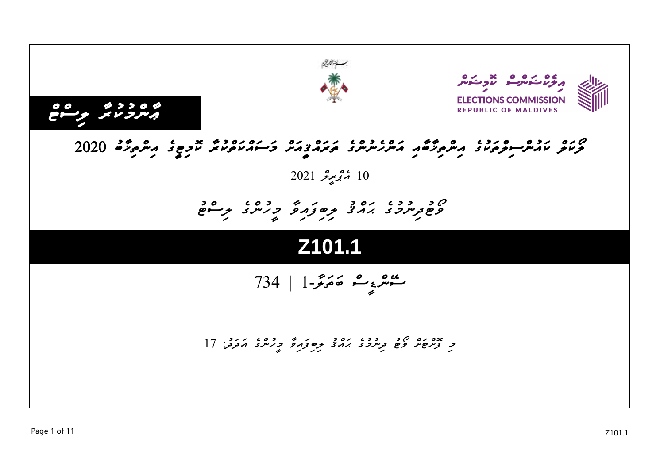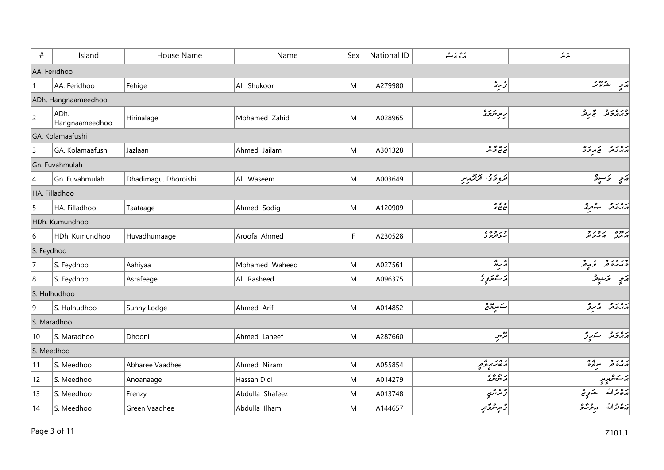| #              | Island                 | House Name           | Name            | Sex       | <b>National ID</b> | ، ه ، ره<br>د ، برگ               | ىئرىتر                                                                  |
|----------------|------------------------|----------------------|-----------------|-----------|--------------------|-----------------------------------|-------------------------------------------------------------------------|
|                | AA. Feridhoo           |                      |                 |           |                    |                                   |                                                                         |
|                | AA. Feridhoo           | Fehige               | Ali Shukoor     | ${\sf M}$ | A279980            | ڈربز                              | أەسم يودد د                                                             |
|                | ADh. Hangnaameedhoo    |                      |                 |           |                    |                                   |                                                                         |
| $\overline{2}$ | ADh.<br>Hangnaameedhoo | Hirinalage           | Mohamed Zahid   | M         | A028965            | لرىرىترىدە                        | כממכנה המי                                                              |
|                | GA. Kolamaafushi       |                      |                 |           |                    |                                   |                                                                         |
| 3              | GA. Kolamaafushi       | Jazlaan              | Ahmed Jailam    | M         | A301328            | ئے بچ بچر نگر                     | برەر ئەرىخ                                                              |
|                | Gn. Fuvahmulah         |                      |                 |           |                    |                                   |                                                                         |
| Ι4             | Gn. Fuvahmulah         | Dhadimagu. Dhoroishi | Ali Waseem      | ${\sf M}$ | A003649            | <br>  تدويري قد تدريبر            | أەيمنى ئەسىرد                                                           |
|                | HA. Filladhoo          |                      |                 |           |                    |                                   |                                                                         |
| $\overline{5}$ | HA. Filladhoo          | Taataage             | Ahmed Sodig     | ${\sf M}$ | A120909            | چ چ ی<br>  ج چ ی                  | ره رو شوره<br>مربروتر سیکوری                                            |
|                | HDh. Kumundhoo         |                      |                 |           |                    |                                   |                                                                         |
| 6              | HDh. Kumundhoo         | Huvadhumaage         | Aroofa Ahmed    | F         | A230528            | و ر و » ،<br>ره ترو د             | ני מיני ביירי<br>היינג' הגיביה                                          |
| S. Feydhoo     |                        |                      |                 |           |                    |                                   |                                                                         |
|                | S. Feydhoo             | Aahiyaa              | Mohamed Waheed  | M         | A027561            | رمبر پر                           | ورکاری کاروگر<br>درگاری کاروگر<br>امام ایرکاروگر                        |
| 8              | S. Feydhoo             | Asrafeege            | Ali Rasheed     | M         | A096375            | ر ص <sub>ى</sub> رىي<br>مەسىرىي ئ |                                                                         |
|                | S. Hulhudhoo           |                      |                 |           |                    |                                   |                                                                         |
| 9              | S. Hulhudhoo           | Sunny Lodge          | Ahmed Arif      | M         | A014852            | ڪ سرچر <sup>ي</sup><br>پ          | دەر د ئەبرو                                                             |
|                | S. Maradhoo            |                      |                 |           |                    |                                   |                                                                         |
| $ 10\rangle$   | S. Maradhoo            | Dhooni               | Ahmed Laheef    | M         | A287660            | لقرسر                             | پرورو شهرو                                                              |
| S. Meedhoo     |                        |                      |                 |           |                    |                                   |                                                                         |
| 11             | S. Meedhoo             | Abharee Vaadhee      | Ahmed Nizam     | ${\sf M}$ | A055854            | رە ئەبرۇر.<br>مەسىر               | پروتر سرگو                                                              |
| 12             | S. Meedhoo             | Anoanaage            | Hassan Didi     | M         | A014279            | ر ۾ ءِ ۽<br>مرس                   |                                                                         |
| 13             | S. Meedhoo             | Frenzy               | Abdulla Shafeez | M         | A013748            | ه ، ه ه<br>از مرس                 | بركشورير<br>برگشتان الله الموسي<br>برگارگان برگرگري<br>برگارگان برگرگري |
| 14             | S. Meedhoo             | Green Vaadhee        | Abdulla Ilham   | M         | A144657            | دىمە يىر چە يې                    |                                                                         |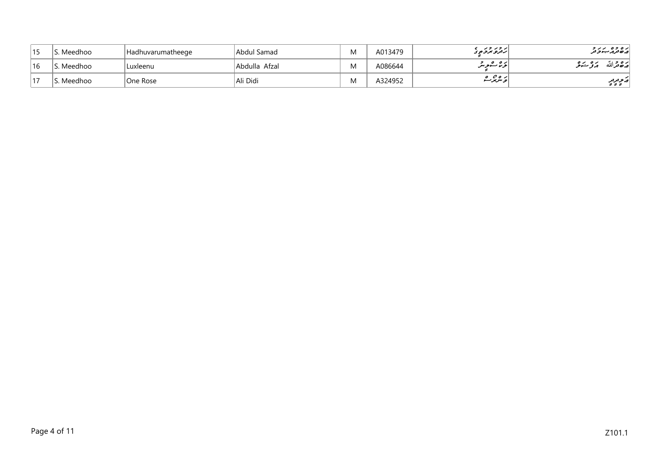| 1.4F           | . Meedhoo  | i Hadhuvarumatheege | Abdul Samad   | М | A013479 | رور ور د<br>  رتره برو مو د | ر ٥ ٥ ٥ ٥ ر د و<br>پرەنزور سوترنر             |
|----------------|------------|---------------------|---------------|---|---------|-----------------------------|-----------------------------------------------|
| 16             | Meedhoo    | -uxleenu            | Abdulla Afzal | М | A086644 | ا ره ه<br>ىو بە سىدىرىس     | صقرالله<br>$\circ$ , $\circ$ ,<br>سندو<br>مرو |
| $\overline{a}$ | د، Meedhoo | One Rose            | Ali Didi      | M | A324952 | ئەندىر م                    | بر و در<br>1.11                               |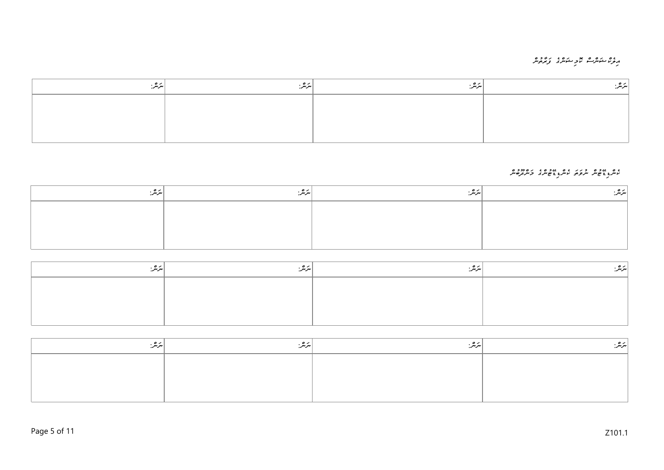## *w7qAn8m?sCw7mRo>u;wEw7mRw;sBo<*

| ايئرمين | $\overline{\phantom{a}}$ | ىر تە |
|---------|--------------------------|-------|
|         |                          |       |
|         |                          |       |
|         |                          |       |

## w*99907 c99u 02 y990 c9000*<br>מית 29 gam=y*7gram*<br>ק

| بر ه | ىر مىر |  |
|------|--------|--|
|      |        |  |
|      |        |  |
|      |        |  |

| $\frac{2}{n}$ | $\overline{\phantom{a}}$ | اير هنه. | $\mathcal{O} \times$<br>سرسر |
|---------------|--------------------------|----------|------------------------------|
|               |                          |          |                              |
|               |                          |          |                              |
|               |                          |          |                              |

| ' ئىرتىر: | سر سر |  |
|-----------|-------|--|
|           |       |  |
|           |       |  |
|           |       |  |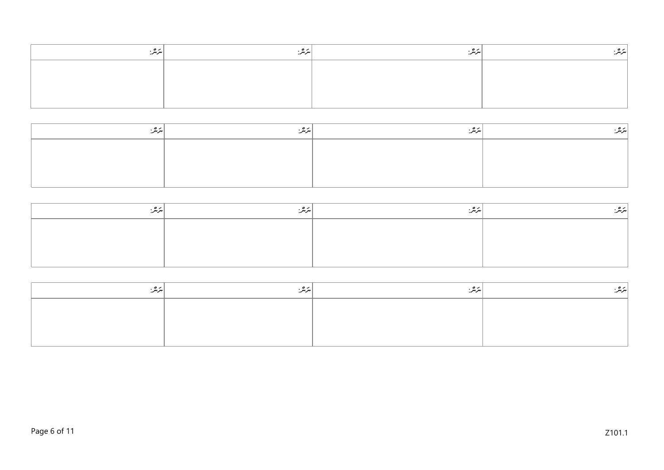| يزهر | $\mathcal{\mathcal{L}}$ | ىئرىتر: |  |
|------|-------------------------|---------|--|
|      |                         |         |  |
|      |                         |         |  |
|      |                         |         |  |

| <sup>.</sup> سرسر. |  |
|--------------------|--|
|                    |  |
|                    |  |
|                    |  |

| ىئرىتر. | $\sim$ | ا بر هه. | لىرىش |
|---------|--------|----------|-------|
|         |        |          |       |
|         |        |          |       |
|         |        |          |       |

| $\overline{\phantom{a}}$<br>سرس | ر ه<br>,,, | . . | 。<br>سرس. |
|---------------------------------|------------|-----|-----------|
|                                 |            |     |           |
|                                 |            |     |           |
|                                 |            |     |           |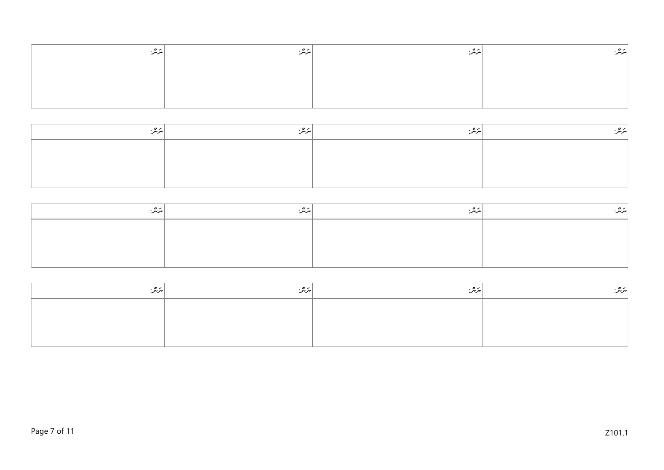| ير هو . | $\overline{\phantom{a}}$ | يرمر | اير هنه. |
|---------|--------------------------|------|----------|
|         |                          |      |          |
|         |                          |      |          |
|         |                          |      |          |

| ىبرىر. | $\sim$<br>ا سرسر . | يئرمثر | o . |
|--------|--------------------|--------|-----|
|        |                    |        |     |
|        |                    |        |     |
|        |                    |        |     |

| نتزيتر به | 。 | 。<br>سرسر. | o <i>~</i> |
|-----------|---|------------|------------|
|           |   |            |            |
|           |   |            |            |
|           |   |            |            |

|  | . ه |
|--|-----|
|  |     |
|  |     |
|  |     |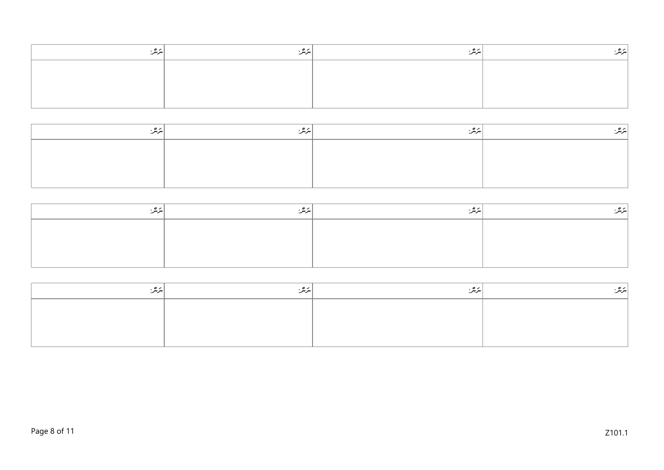| ير هو . | $\overline{\phantom{a}}$ | يرمر | اير هنه. |
|---------|--------------------------|------|----------|
|         |                          |      |          |
|         |                          |      |          |
|         |                          |      |          |

| ىر تىر: | $\circ$ $\sim$<br>" سرسر . | يبرحه | o . |
|---------|----------------------------|-------|-----|
|         |                            |       |     |
|         |                            |       |     |
|         |                            |       |     |

| 'تترنثر: | 。<br>,,,, |  |
|----------|-----------|--|
|          |           |  |
|          |           |  |
|          |           |  |

|  | . ه |
|--|-----|
|  |     |
|  |     |
|  |     |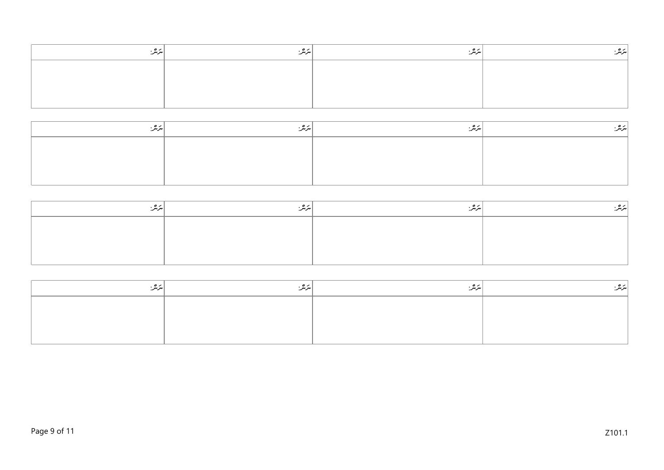| $\cdot$ | 。 | $\frac{\circ}{\cdot}$ | $\sim$<br>سرسر |
|---------|---|-----------------------|----------------|
|         |   |                       |                |
|         |   |                       |                |
|         |   |                       |                |

| ايرعر: | ر ه<br>. . |  |
|--------|------------|--|
|        |            |  |
|        |            |  |
|        |            |  |

| بر ه | 。 | $\sim$<br>َ سومس. |  |
|------|---|-------------------|--|
|      |   |                   |  |
|      |   |                   |  |
|      |   |                   |  |

| 。<br>. س | ىرىىر |  |
|----------|-------|--|
|          |       |  |
|          |       |  |
|          |       |  |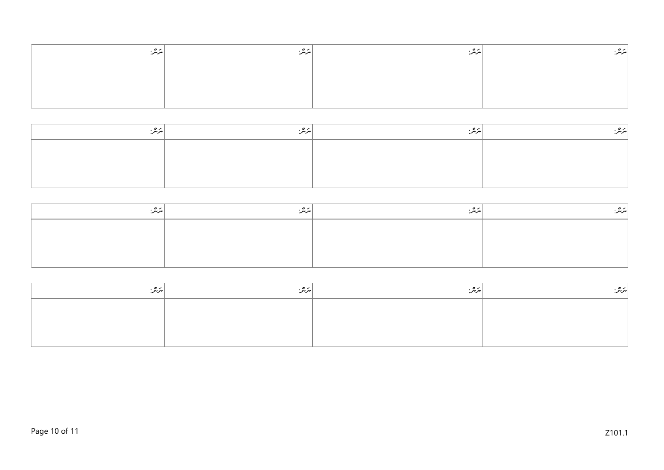| ير هو . | $\overline{\phantom{a}}$ | يرمر | اير هنه. |
|---------|--------------------------|------|----------|
|         |                          |      |          |
|         |                          |      |          |
|         |                          |      |          |

| ىبرىر. | $\sim$<br>ا سرسر . | يئرمثر | o . |
|--------|--------------------|--------|-----|
|        |                    |        |     |
|        |                    |        |     |
|        |                    |        |     |

| 'تترنثر: | . .<br>يسمونس. |  |
|----------|----------------|--|
|          |                |  |
|          |                |  |
|          |                |  |

|  | . ه |
|--|-----|
|  |     |
|  |     |
|  |     |